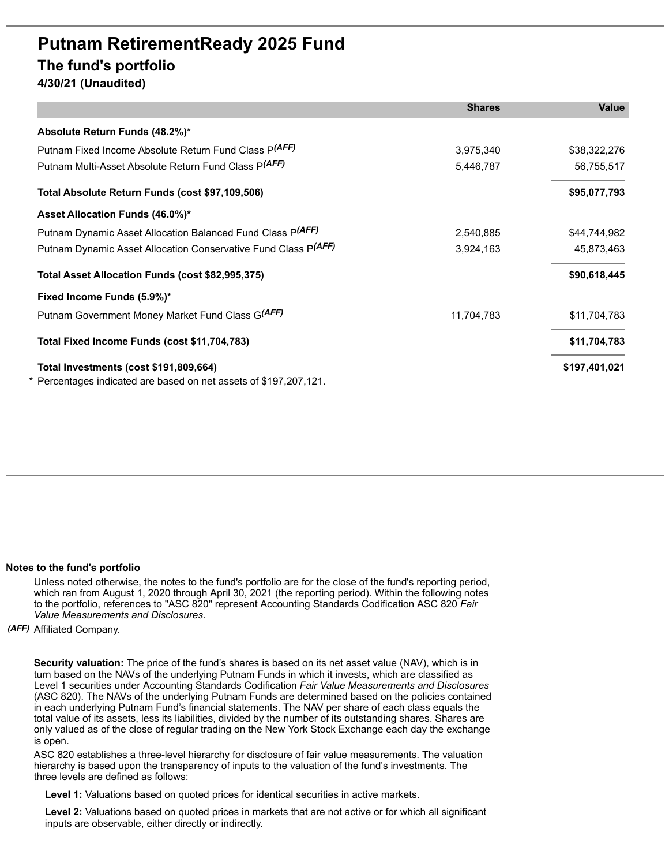## **Putnam RetirementReady 2025 Fund The fund's portfolio**

**4/30/21 (Unaudited)**

|                                                                   | <b>Shares</b> | <b>Value</b>  |
|-------------------------------------------------------------------|---------------|---------------|
| Absolute Return Funds (48.2%)*                                    |               |               |
| Putnam Fixed Income Absolute Return Fund Class P(AFF)             | 3,975,340     | \$38,322,276  |
| Putnam Multi-Asset Absolute Return Fund Class P(AFF)              | 5,446,787     | 56,755,517    |
| Total Absolute Return Funds (cost \$97,109,506)                   |               | \$95,077,793  |
| Asset Allocation Funds (46.0%)*                                   |               |               |
| Putnam Dynamic Asset Allocation Balanced Fund Class P(AFF)        | 2,540,885     | \$44,744,982  |
| Putnam Dynamic Asset Allocation Conservative Fund Class P(AFF)    | 3,924,163     | 45,873,463    |
| Total Asset Allocation Funds (cost \$82,995,375)                  |               | \$90,618,445  |
| Fixed Income Funds (5.9%)*                                        |               |               |
| Putnam Government Money Market Fund Class G(AFF)                  | 11,704,783    | \$11,704,783  |
| Total Fixed Income Funds (cost \$11,704,783)                      |               | \$11,704,783  |
| Total Investments (cost \$191,809,664)                            |               | \$197,401,021 |
| * Percentages indicated are based on net assets of \$197,207,121. |               |               |

## **Notes to the fund's portfolio**

Unless noted otherwise, the notes to the fund's portfolio are for the close of the fund's reporting period, which ran from August 1, 2020 through April 30, 2021 (the reporting period). Within the following notes to the portfolio, references to "ASC 820" represent Accounting Standards Codification ASC 820 *Fair Value Measurements and Disclosures*.

*(AFF)* Affiliated Company.

**Security valuation:** The price of the fund's shares is based on its net asset value (NAV), which is in turn based on the NAVs of the underlying Putnam Funds in which it invests, which are classified as Level 1 securities under Accounting Standards Codification *Fair Value Measurements and Disclosures* (ASC 820). The NAVs of the underlying Putnam Funds are determined based on the policies contained in each underlying Putnam Fund's financial statements. The NAV per share of each class equals the total value of its assets, less its liabilities, divided by the number of its outstanding shares. Shares are only valued as of the close of regular trading on the New York Stock Exchange each day the exchange is open.

ASC 820 establishes a three-level hierarchy for disclosure of fair value measurements. The valuation hierarchy is based upon the transparency of inputs to the valuation of the fund's investments. The three levels are defined as follows:

**Level 1:** Valuations based on quoted prices for identical securities in active markets.

**Level 2:** Valuations based on quoted prices in markets that are not active or for which all significant inputs are observable, either directly or indirectly.